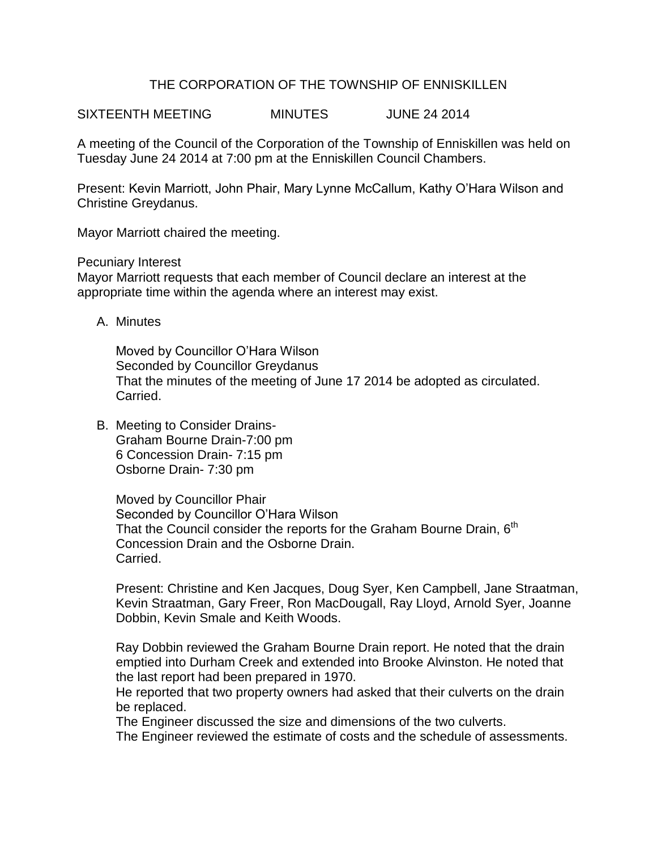# THE CORPORATION OF THE TOWNSHIP OF ENNISKILLEN

SIXTEENTH MEETING MINUTES JUNE 24 2014

A meeting of the Council of the Corporation of the Township of Enniskillen was held on Tuesday June 24 2014 at 7:00 pm at the Enniskillen Council Chambers.

Present: Kevin Marriott, John Phair, Mary Lynne McCallum, Kathy O'Hara Wilson and Christine Greydanus.

Mayor Marriott chaired the meeting.

Pecuniary Interest

Mayor Marriott requests that each member of Council declare an interest at the appropriate time within the agenda where an interest may exist.

A. Minutes

Moved by Councillor O'Hara Wilson Seconded by Councillor Greydanus That the minutes of the meeting of June 17 2014 be adopted as circulated. Carried.

B. Meeting to Consider Drains-Graham Bourne Drain-7:00 pm 6 Concession Drain- 7:15 pm Osborne Drain- 7:30 pm

> Moved by Councillor Phair Seconded by Councillor O'Hara Wilson That the Council consider the reports for the Graham Bourne Drain,  $6<sup>th</sup>$ Concession Drain and the Osborne Drain. Carried.

Present: Christine and Ken Jacques, Doug Syer, Ken Campbell, Jane Straatman, Kevin Straatman, Gary Freer, Ron MacDougall, Ray Lloyd, Arnold Syer, Joanne Dobbin, Kevin Smale and Keith Woods.

Ray Dobbin reviewed the Graham Bourne Drain report. He noted that the drain emptied into Durham Creek and extended into Brooke Alvinston. He noted that the last report had been prepared in 1970.

He reported that two property owners had asked that their culverts on the drain be replaced.

The Engineer discussed the size and dimensions of the two culverts.

The Engineer reviewed the estimate of costs and the schedule of assessments.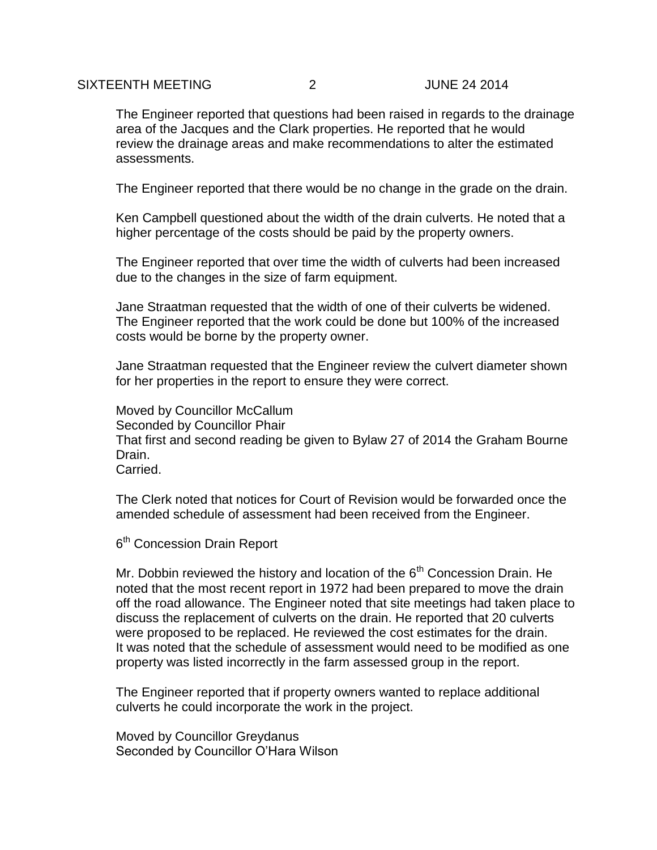#### SIXTEENTH MEETING 2 JUNE 24 2014

The Engineer reported that questions had been raised in regards to the drainage area of the Jacques and the Clark properties. He reported that he would review the drainage areas and make recommendations to alter the estimated assessments.

The Engineer reported that there would be no change in the grade on the drain.

Ken Campbell questioned about the width of the drain culverts. He noted that a higher percentage of the costs should be paid by the property owners.

The Engineer reported that over time the width of culverts had been increased due to the changes in the size of farm equipment.

Jane Straatman requested that the width of one of their culverts be widened. The Engineer reported that the work could be done but 100% of the increased costs would be borne by the property owner.

Jane Straatman requested that the Engineer review the culvert diameter shown for her properties in the report to ensure they were correct.

Moved by Councillor McCallum Seconded by Councillor Phair That first and second reading be given to Bylaw 27 of 2014 the Graham Bourne Drain. Carried.

The Clerk noted that notices for Court of Revision would be forwarded once the amended schedule of assessment had been received from the Engineer.

6<sup>th</sup> Concession Drain Report

Mr. Dobbin reviewed the history and location of the  $6<sup>th</sup>$  Concession Drain. He noted that the most recent report in 1972 had been prepared to move the drain off the road allowance. The Engineer noted that site meetings had taken place to discuss the replacement of culverts on the drain. He reported that 20 culverts were proposed to be replaced. He reviewed the cost estimates for the drain. It was noted that the schedule of assessment would need to be modified as one property was listed incorrectly in the farm assessed group in the report.

The Engineer reported that if property owners wanted to replace additional culverts he could incorporate the work in the project.

Moved by Councillor Greydanus Seconded by Councillor O'Hara Wilson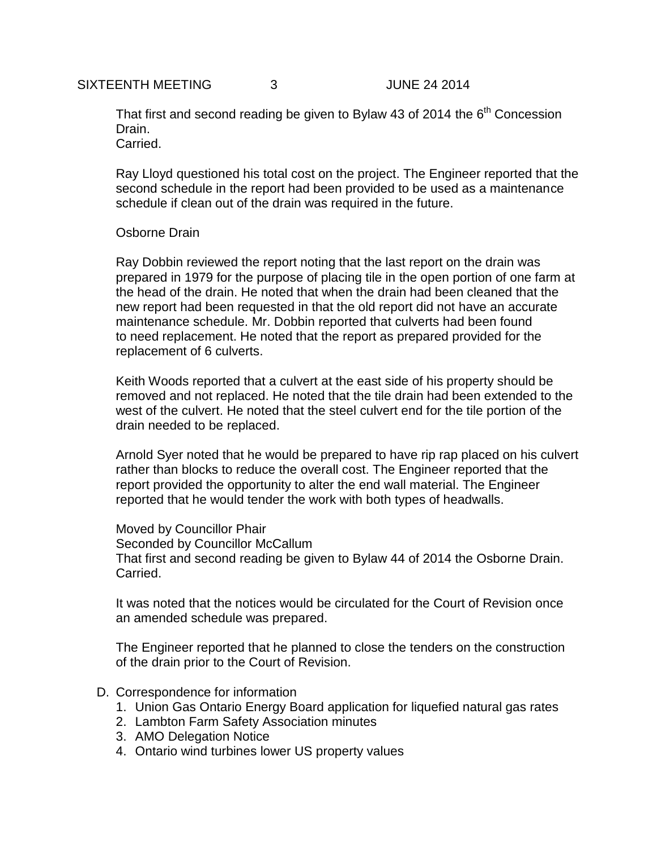That first and second reading be given to Bylaw 43 of 2014 the  $6<sup>th</sup>$  Concession Drain. Carried.

Ray Lloyd questioned his total cost on the project. The Engineer reported that the second schedule in the report had been provided to be used as a maintenance schedule if clean out of the drain was required in the future.

## Osborne Drain

Ray Dobbin reviewed the report noting that the last report on the drain was prepared in 1979 for the purpose of placing tile in the open portion of one farm at the head of the drain. He noted that when the drain had been cleaned that the new report had been requested in that the old report did not have an accurate maintenance schedule. Mr. Dobbin reported that culverts had been found to need replacement. He noted that the report as prepared provided for the replacement of 6 culverts.

Keith Woods reported that a culvert at the east side of his property should be removed and not replaced. He noted that the tile drain had been extended to the west of the culvert. He noted that the steel culvert end for the tile portion of the drain needed to be replaced.

Arnold Syer noted that he would be prepared to have rip rap placed on his culvert rather than blocks to reduce the overall cost. The Engineer reported that the report provided the opportunity to alter the end wall material. The Engineer reported that he would tender the work with both types of headwalls.

Moved by Councillor Phair Seconded by Councillor McCallum That first and second reading be given to Bylaw 44 of 2014 the Osborne Drain. Carried.

It was noted that the notices would be circulated for the Court of Revision once an amended schedule was prepared.

The Engineer reported that he planned to close the tenders on the construction of the drain prior to the Court of Revision.

### D. Correspondence for information

- 1. Union Gas Ontario Energy Board application for liquefied natural gas rates
- 2. Lambton Farm Safety Association minutes
- 3. AMO Delegation Notice
- 4. Ontario wind turbines lower US property values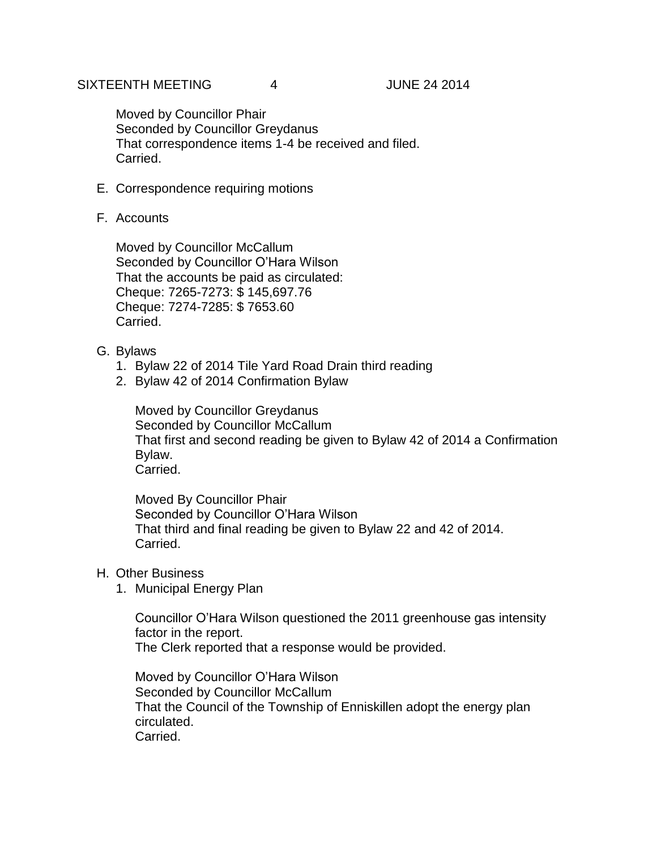Moved by Councillor Phair Seconded by Councillor Greydanus That correspondence items 1-4 be received and filed. Carried.

- E. Correspondence requiring motions
- F. Accounts

Moved by Councillor McCallum Seconded by Councillor O'Hara Wilson That the accounts be paid as circulated: Cheque: 7265-7273: \$ 145,697.76 Cheque: 7274-7285: \$ 7653.60 **Carried** 

- G. Bylaws
	- 1. Bylaw 22 of 2014 Tile Yard Road Drain third reading
	- 2. Bylaw 42 of 2014 Confirmation Bylaw

Moved by Councillor Greydanus Seconded by Councillor McCallum That first and second reading be given to Bylaw 42 of 2014 a Confirmation Bylaw. Carried.

Moved By Councillor Phair Seconded by Councillor O'Hara Wilson That third and final reading be given to Bylaw 22 and 42 of 2014. Carried.

- H. Other Business
	- 1. Municipal Energy Plan

Councillor O'Hara Wilson questioned the 2011 greenhouse gas intensity factor in the report. The Clerk reported that a response would be provided.

Moved by Councillor O'Hara Wilson Seconded by Councillor McCallum That the Council of the Township of Enniskillen adopt the energy plan circulated. Carried.